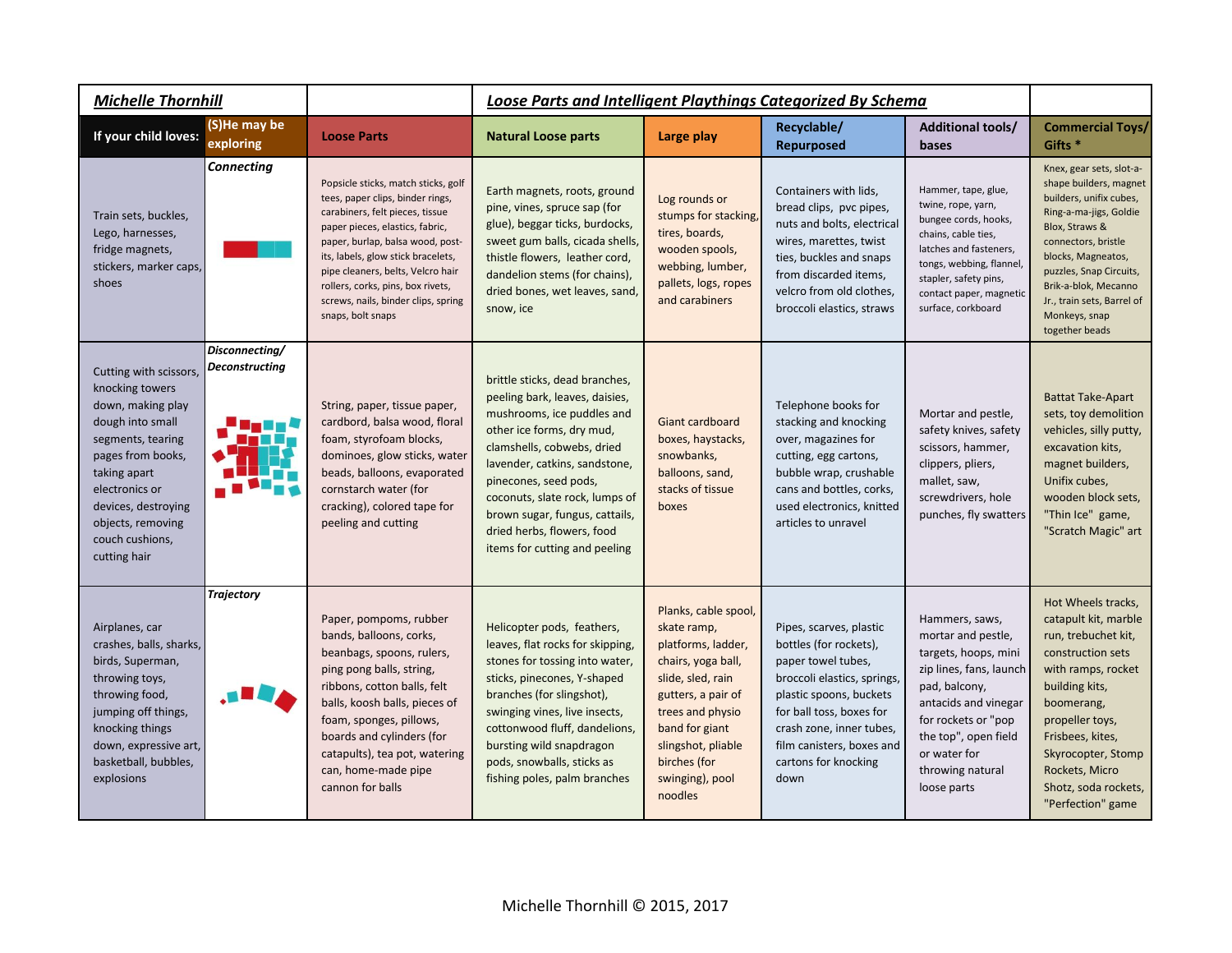| <b>Michelle Thornhill</b>                                                                                                                                                                                                                     |                                         |                                                                                                                                                                                                                                                                                                                                                               | Loose Parts and Intelligent Playthings Categorized By Schema                                                                                                                                                                                                                                                                                           |                                                                                                                                                                                                                                      |                                                                                                                                                                                                                                                        |                                                                                                                                                                                                                                    |                                                                                                                                                                                                                                                                                            |
|-----------------------------------------------------------------------------------------------------------------------------------------------------------------------------------------------------------------------------------------------|-----------------------------------------|---------------------------------------------------------------------------------------------------------------------------------------------------------------------------------------------------------------------------------------------------------------------------------------------------------------------------------------------------------------|--------------------------------------------------------------------------------------------------------------------------------------------------------------------------------------------------------------------------------------------------------------------------------------------------------------------------------------------------------|--------------------------------------------------------------------------------------------------------------------------------------------------------------------------------------------------------------------------------------|--------------------------------------------------------------------------------------------------------------------------------------------------------------------------------------------------------------------------------------------------------|------------------------------------------------------------------------------------------------------------------------------------------------------------------------------------------------------------------------------------|--------------------------------------------------------------------------------------------------------------------------------------------------------------------------------------------------------------------------------------------------------------------------------------------|
| If your child loves:                                                                                                                                                                                                                          | (S)He may be<br>exploring               | <b>Loose Parts</b>                                                                                                                                                                                                                                                                                                                                            | <b>Natural Loose parts</b>                                                                                                                                                                                                                                                                                                                             | Large play                                                                                                                                                                                                                           | Recyclable/<br><b>Repurposed</b>                                                                                                                                                                                                                       | <b>Additional tools/</b><br>bases                                                                                                                                                                                                  | <b>Commercial Toys/</b><br>Gifts <sup>*</sup>                                                                                                                                                                                                                                              |
| Train sets, buckles,<br>Lego, harnesses,<br>fridge magnets,<br>stickers, marker caps,<br>shoes                                                                                                                                                | <b>Connecting</b>                       | Popsicle sticks, match sticks, golf<br>tees, paper clips, binder rings,<br>carabiners, felt pieces, tissue<br>paper pieces, elastics, fabric,<br>paper, burlap, balsa wood, post-<br>its, labels, glow stick bracelets,<br>pipe cleaners, belts, Velcro hair<br>rollers, corks, pins, box rivets,<br>screws, nails, binder clips, spring<br>snaps, bolt snaps | Earth magnets, roots, ground<br>pine, vines, spruce sap (for<br>glue), beggar ticks, burdocks,<br>sweet gum balls, cicada shells,<br>thistle flowers, leather cord,<br>dandelion stems (for chains),<br>dried bones, wet leaves, sand,<br>snow, ice                                                                                                    | Log rounds or<br>stumps for stacking,<br>tires, boards,<br>wooden spools,<br>webbing, lumber,<br>pallets, logs, ropes<br>and carabiners                                                                                              | Containers with lids,<br>bread clips, pvc pipes,<br>nuts and bolts, electrical<br>wires, marettes, twist<br>ties, buckles and snaps<br>from discarded items,<br>velcro from old clothes,<br>broccoli elastics, straws                                  | Hammer, tape, glue,<br>twine, rope, yarn,<br>bungee cords, hooks,<br>chains, cable ties,<br>latches and fasteners,<br>tongs, webbing, flannel,<br>stapler, safety pins,<br>contact paper, magnetic<br>surface, corkboard           | Knex, gear sets, slot-a-<br>shape builders, magnet<br>builders, unifix cubes,<br>Ring-a-ma-jigs, Goldie<br>Blox, Straws &<br>connectors, bristle<br>blocks, Magneatos,<br>puzzles, Snap Circuits,<br>Brik-a-blok, Mecanno<br>Jr., train sets, Barrel of<br>Monkeys, snap<br>together beads |
| Cutting with scissors,<br>knocking towers<br>down, making play<br>dough into small<br>segments, tearing<br>pages from books,<br>taking apart<br>electronics or<br>devices, destroying<br>objects, removing<br>couch cushions,<br>cutting hair | Disconnecting/<br><b>Deconstructing</b> | String, paper, tissue paper,<br>cardbord, balsa wood, floral<br>foam, styrofoam blocks,<br>dominoes, glow sticks, water<br>beads, balloons, evaporated<br>cornstarch water (for<br>cracking), colored tape for<br>peeling and cutting                                                                                                                         | brittle sticks, dead branches,<br>peeling bark, leaves, daisies,<br>mushrooms, ice puddles and<br>other ice forms, dry mud,<br>clamshells, cobwebs, dried<br>lavender, catkins, sandstone,<br>pinecones, seed pods,<br>coconuts, slate rock, lumps of<br>brown sugar, fungus, cattails,<br>dried herbs, flowers, food<br>items for cutting and peeling | <b>Giant cardboard</b><br>boxes, haystacks,<br>snowbanks,<br>balloons, sand,<br>stacks of tissue<br>boxes                                                                                                                            | Telephone books for<br>stacking and knocking<br>over, magazines for<br>cutting, egg cartons,<br>bubble wrap, crushable<br>cans and bottles, corks,<br>used electronics, knitted<br>articles to unravel                                                 | Mortar and pestle,<br>safety knives, safety<br>scissors, hammer,<br>clippers, pliers,<br>mallet, saw,<br>screwdrivers, hole<br>punches, fly swatters                                                                               | <b>Battat Take-Apart</b><br>sets, toy demolition<br>vehicles, silly putty,<br>excavation kits,<br>magnet builders,<br>Unifix cubes,<br>wooden block sets,<br>"Thin Ice" game,<br>"Scratch Magic" art                                                                                       |
| Airplanes, car<br>crashes, balls, sharks,<br>birds, Superman,<br>throwing toys,<br>throwing food,<br>jumping off things,<br>knocking things<br>down, expressive art,<br>basketball, bubbles,<br>explosions                                    | <b>Trajectory</b>                       | Paper, pompoms, rubber<br>bands, balloons, corks,<br>beanbags, spoons, rulers,<br>ping pong balls, string,<br>ribbons, cotton balls, felt<br>balls, koosh balls, pieces of<br>foam, sponges, pillows,<br>boards and cylinders (for<br>catapults), tea pot, watering<br>can, home-made pipe<br>cannon for balls                                                | Helicopter pods, feathers,<br>leaves, flat rocks for skipping,<br>stones for tossing into water,<br>sticks, pinecones, Y-shaped<br>branches (for slingshot),<br>swinging vines, live insects,<br>cottonwood fluff, dandelions,<br>bursting wild snapdragon<br>pods, snowballs, sticks as<br>fishing poles, palm branches                               | Planks, cable spool,<br>skate ramp,<br>platforms, ladder,<br>chairs, yoga ball,<br>slide, sled, rain<br>gutters, a pair of<br>trees and physio<br>band for giant<br>slingshot, pliable<br>birches (for<br>swinging), pool<br>noodles | Pipes, scarves, plastic<br>bottles (for rockets),<br>paper towel tubes,<br>broccoli elastics, springs,<br>plastic spoons, buckets<br>for ball toss, boxes for<br>crash zone, inner tubes,<br>film canisters, boxes and<br>cartons for knocking<br>down | Hammers, saws,<br>mortar and pestle,<br>targets, hoops, mini<br>zip lines, fans, launch<br>pad, balcony,<br>antacids and vinegar<br>for rockets or "pop<br>the top", open field<br>or water for<br>throwing natural<br>loose parts | Hot Wheels tracks,<br>catapult kit, marble<br>run, trebuchet kit,<br>construction sets<br>with ramps, rocket<br>building kits,<br>boomerang,<br>propeller toys,<br>Frisbees, kites,<br>Skyrocopter, Stomp<br>Rockets, Micro<br>Shotz, soda rockets,<br>"Perfection" game                   |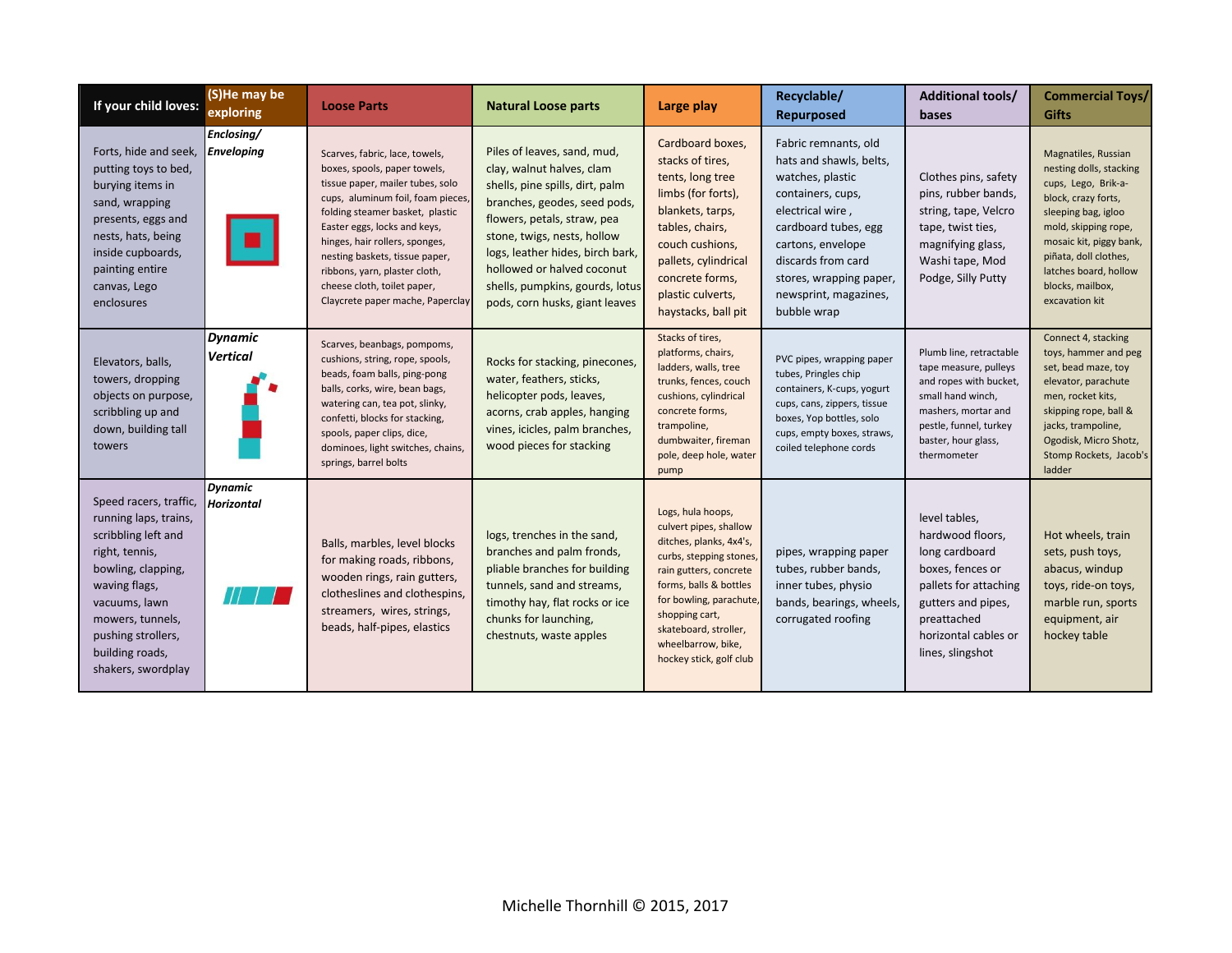| If your child loves:                                                                                                                                                                                                                | (S)He may be<br>exploring         | <b>Loose Parts</b>                                                                                                                                                                                                                                                                                                                                                                | <b>Natural Loose parts</b>                                                                                                                                                                                                                                                                                                       | Large play                                                                                                                                                                                                                                                                   | Recyclable/<br>Repurposed                                                                                                                                                                                                                          | <b>Additional tools/</b><br>bases                                                                                                                                                      | <b>Commercial Toys/</b><br><b>Gifts</b>                                                                                                                                                                                                                        |
|-------------------------------------------------------------------------------------------------------------------------------------------------------------------------------------------------------------------------------------|-----------------------------------|-----------------------------------------------------------------------------------------------------------------------------------------------------------------------------------------------------------------------------------------------------------------------------------------------------------------------------------------------------------------------------------|----------------------------------------------------------------------------------------------------------------------------------------------------------------------------------------------------------------------------------------------------------------------------------------------------------------------------------|------------------------------------------------------------------------------------------------------------------------------------------------------------------------------------------------------------------------------------------------------------------------------|----------------------------------------------------------------------------------------------------------------------------------------------------------------------------------------------------------------------------------------------------|----------------------------------------------------------------------------------------------------------------------------------------------------------------------------------------|----------------------------------------------------------------------------------------------------------------------------------------------------------------------------------------------------------------------------------------------------------------|
| Forts, hide and seek,<br>putting toys to bed,<br>burying items in<br>sand, wrapping<br>presents, eggs and<br>nests, hats, being<br>inside cupboards,<br>painting entire<br>canvas, Lego<br>enclosures                               | Enclosing/<br>Enveloping          | Scarves, fabric, lace, towels,<br>boxes, spools, paper towels,<br>tissue paper, mailer tubes, solo<br>cups, aluminum foil, foam pieces<br>folding steamer basket, plastic<br>Easter eggs, locks and keys,<br>hinges, hair rollers, sponges,<br>nesting baskets, tissue paper,<br>ribbons, yarn, plaster cloth,<br>cheese cloth, toilet paper,<br>Claycrete paper mache, Paperclay | Piles of leaves, sand, mud,<br>clay, walnut halves, clam<br>shells, pine spills, dirt, palm<br>branches, geodes, seed pods,<br>flowers, petals, straw, pea<br>stone, twigs, nests, hollow<br>logs, leather hides, birch bark,<br>hollowed or halved coconut<br>shells, pumpkins, gourds, lotus<br>pods, corn husks, giant leaves | Cardboard boxes,<br>stacks of tires,<br>tents, long tree<br>limbs (for forts),<br>blankets, tarps,<br>tables, chairs,<br>couch cushions,<br>pallets, cylindrical<br>concrete forms,<br>plastic culverts,<br>haystacks, ball pit                                              | Fabric remnants, old<br>hats and shawls, belts,<br>watches, plastic<br>containers, cups,<br>electrical wire,<br>cardboard tubes, egg<br>cartons, envelope<br>discards from card<br>stores, wrapping paper,<br>newsprint, magazines,<br>bubble wrap | Clothes pins, safety<br>pins, rubber bands,<br>string, tape, Velcro<br>tape, twist ties,<br>magnifying glass,<br>Washi tape, Mod<br>Podge, Silly Putty                                 | Magnatiles, Russian<br>nesting dolls, stacking<br>cups, Lego, Brik-a-<br>block, crazy forts,<br>sleeping bag, igloo<br>mold, skipping rope,<br>mosaic kit, piggy bank,<br>piñata, doll clothes,<br>latches board, hollow<br>blocks, mailbox,<br>excavation kit |
| Elevators, balls,<br>towers, dropping<br>objects on purpose,<br>scribbling up and<br>down, building tall<br>towers                                                                                                                  | <b>Dynamic</b><br><b>Vertical</b> | Scarves, beanbags, pompoms,<br>cushions, string, rope, spools,<br>beads, foam balls, ping-pong<br>balls, corks, wire, bean bags,<br>watering can, tea pot, slinky,<br>confetti, blocks for stacking,<br>spools, paper clips, dice,<br>dominoes, light switches, chains,<br>springs, barrel bolts                                                                                  | Rocks for stacking, pinecones,<br>water, feathers, sticks,<br>helicopter pods, leaves,<br>acorns, crab apples, hanging<br>vines, icicles, palm branches,<br>wood pieces for stacking                                                                                                                                             | Stacks of tires,<br>platforms, chairs,<br>ladders, walls, tree<br>trunks, fences, couch<br>cushions, cylindrical<br>concrete forms,<br>trampoline,<br>dumbwaiter, fireman<br>pole, deep hole, water<br>pump                                                                  | PVC pipes, wrapping paper<br>tubes, Pringles chip<br>containers, K-cups, yogurt<br>cups, cans, zippers, tissue<br>boxes, Yop bottles, solo<br>cups, empty boxes, straws,<br>coiled telephone cords                                                 | Plumb line, retractable<br>tape measure, pulleys<br>and ropes with bucket,<br>small hand winch,<br>mashers, mortar and<br>pestle, funnel, turkey<br>baster, hour glass,<br>thermometer | Connect 4, stacking<br>toys, hammer and peg<br>set, bead maze, toy<br>elevator, parachute<br>men, rocket kits,<br>skipping rope, ball &<br>jacks, trampoline,<br>Ogodisk, Micro Shotz,<br>Stomp Rockets, Jacob's<br>ladder                                     |
| Speed racers, traffic,<br>running laps, trains,<br>scribbling left and<br>right, tennis,<br>bowling, clapping,<br>waving flags,<br>vacuums, lawn<br>mowers, tunnels,<br>pushing strollers,<br>building roads,<br>shakers, swordplay | <b>Dynamic</b><br>Horizontal      | Balls, marbles, level blocks<br>for making roads, ribbons,<br>wooden rings, rain gutters,<br>clotheslines and clothespins,<br>streamers, wires, strings,<br>beads, half-pipes, elastics                                                                                                                                                                                           | logs, trenches in the sand,<br>branches and palm fronds,<br>pliable branches for building<br>tunnels, sand and streams,<br>timothy hay, flat rocks or ice<br>chunks for launching,<br>chestnuts, waste apples                                                                                                                    | Logs, hula hoops,<br>culvert pipes, shallow<br>ditches, planks, 4x4's,<br>curbs, stepping stones,<br>rain gutters, concrete<br>forms, balls & bottles<br>for bowling, parachute,<br>shopping cart,<br>skateboard, stroller,<br>wheelbarrow, bike,<br>hockey stick, golf club | pipes, wrapping paper<br>tubes, rubber bands,<br>inner tubes, physio<br>bands, bearings, wheels,<br>corrugated roofing                                                                                                                             | level tables,<br>hardwood floors,<br>long cardboard<br>boxes, fences or<br>pallets for attaching<br>gutters and pipes,<br>preattached<br>horizontal cables or<br>lines, slingshot      | Hot wheels, train<br>sets, push toys,<br>abacus, windup<br>toys, ride-on toys,<br>marble run, sports<br>equipment, air<br>hockey table                                                                                                                         |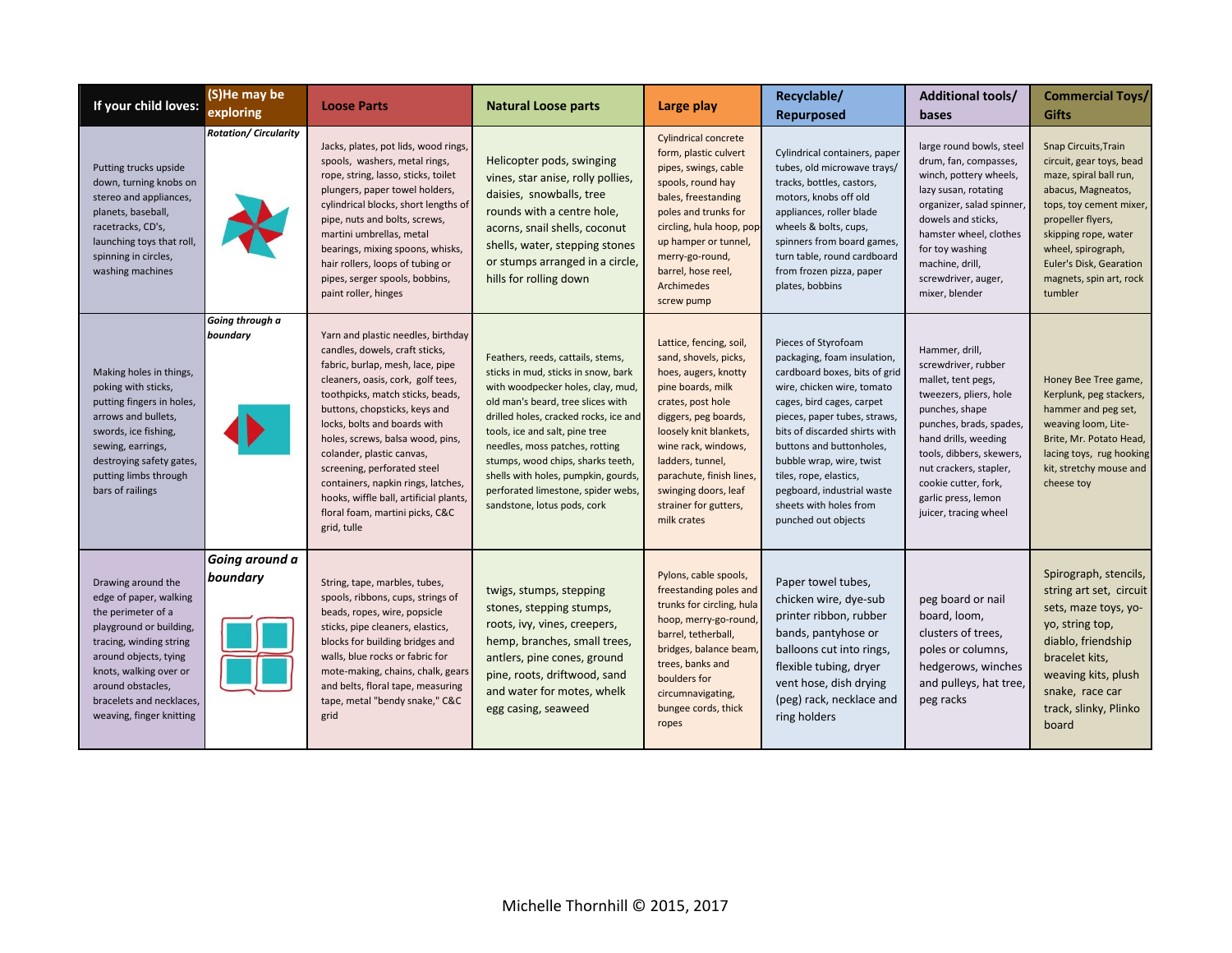| If your child loves:                                                                                                                                                                                                                                     | (S)He may be<br>exploring    | <b>Loose Parts</b>                                                                                                                                                                                                                                                                                                                                                                                                                                                                  | <b>Natural Loose parts</b>                                                                                                                                                                                                                                                                                                                                                                                       | Large play                                                                                                                                                                                                                                                                                                  | Recyclable/<br>Repurposed                                                                                                                                                                                                                                                                                                                                                        | Additional tools/<br>bases                                                                                                                                                                                                                                                               | <b>Commercial Toys/</b><br><b>Gifts</b>                                                                                                                                                                                                                         |
|----------------------------------------------------------------------------------------------------------------------------------------------------------------------------------------------------------------------------------------------------------|------------------------------|-------------------------------------------------------------------------------------------------------------------------------------------------------------------------------------------------------------------------------------------------------------------------------------------------------------------------------------------------------------------------------------------------------------------------------------------------------------------------------------|------------------------------------------------------------------------------------------------------------------------------------------------------------------------------------------------------------------------------------------------------------------------------------------------------------------------------------------------------------------------------------------------------------------|-------------------------------------------------------------------------------------------------------------------------------------------------------------------------------------------------------------------------------------------------------------------------------------------------------------|----------------------------------------------------------------------------------------------------------------------------------------------------------------------------------------------------------------------------------------------------------------------------------------------------------------------------------------------------------------------------------|------------------------------------------------------------------------------------------------------------------------------------------------------------------------------------------------------------------------------------------------------------------------------------------|-----------------------------------------------------------------------------------------------------------------------------------------------------------------------------------------------------------------------------------------------------------------|
| Putting trucks upside<br>down, turning knobs on<br>stereo and appliances,<br>planets, baseball,<br>racetracks, CD's,<br>launching toys that roll,<br>spinning in circles,<br>washing machines                                                            | <b>Rotation/ Circularity</b> | Jacks, plates, pot lids, wood rings,<br>spools, washers, metal rings,<br>rope, string, lasso, sticks, toilet<br>plungers, paper towel holders,<br>cylindrical blocks, short lengths of<br>pipe, nuts and bolts, screws,<br>martini umbrellas, metal<br>bearings, mixing spoons, whisks,<br>hair rollers, loops of tubing or<br>pipes, serger spools, bobbins,<br>paint roller, hinges                                                                                               | Helicopter pods, swinging<br>vines, star anise, rolly pollies,<br>daisies, snowballs, tree<br>rounds with a centre hole,<br>acorns, snail shells, coconut<br>shells, water, stepping stones<br>or stumps arranged in a circle,<br>hills for rolling down                                                                                                                                                         | <b>Cylindrical concrete</b><br>form, plastic culvert<br>pipes, swings, cable<br>spools, round hay<br>bales, freestanding<br>poles and trunks for<br>circling, hula hoop, pop-<br>up hamper or tunnel,<br>merry-go-round,<br>barrel, hose reel,<br><b>Archimedes</b><br>screw pump                           | Cylindrical containers, paper<br>tubes, old microwave trays/<br>tracks, bottles, castors,<br>motors, knobs off old<br>appliances, roller blade<br>wheels & bolts, cups,<br>spinners from board games,<br>turn table, round cardboard<br>from frozen pizza, paper<br>plates, bobbins                                                                                              | large round bowls, steel<br>drum, fan, compasses,<br>winch, pottery wheels,<br>lazy susan, rotating<br>organizer, salad spinner,<br>dowels and sticks,<br>hamster wheel, clothes<br>for toy washing<br>machine, drill,<br>screwdriver, auger,<br>mixer, blender                          | Snap Circuits, Train<br>circuit, gear toys, bead<br>maze, spiral ball run,<br>abacus, Magneatos,<br>tops, toy cement mixer,<br>propeller flyers,<br>skipping rope, water<br>wheel, spirograph,<br>Euler's Disk, Gearation<br>magnets, spin art, rock<br>tumbler |
| Making holes in things,<br>poking with sticks,<br>putting fingers in holes,<br>arrows and bullets,<br>swords, ice fishing,<br>sewing, earrings,<br>destroying safety gates,<br>putting limbs through<br>bars of railings                                 | Going through a<br>boundary  | Yarn and plastic needles, birthday<br>candles, dowels, craft sticks,<br>fabric, burlap, mesh, lace, pipe<br>cleaners, oasis, cork, golf tees,<br>toothpicks, match sticks, beads,<br>buttons, chopsticks, keys and<br>locks, bolts and boards with<br>holes, screws, balsa wood, pins,<br>colander, plastic canvas,<br>screening, perforated steel<br>containers, napkin rings, latches,<br>hooks, wiffle ball, artificial plants<br>floral foam, martini picks, C&C<br>grid, tulle | Feathers, reeds, cattails, stems,<br>sticks in mud, sticks in snow, bark<br>with woodpecker holes, clay, mud,<br>old man's beard, tree slices with<br>drilled holes, cracked rocks, ice and<br>tools, ice and salt, pine tree<br>needles, moss patches, rotting<br>stumps, wood chips, sharks teeth,<br>shells with holes, pumpkin, gourds,<br>perforated limestone, spider webs,<br>sandstone, lotus pods, cork | Lattice, fencing, soil,<br>sand, shovels, picks,<br>hoes, augers, knotty<br>pine boards, milk<br>crates, post hole<br>diggers, peg boards,<br>loosely knit blankets,<br>wine rack, windows,<br>ladders, tunnel,<br>parachute, finish lines,<br>swinging doors, leaf<br>strainer for gutters,<br>milk crates | Pieces of Styrofoam<br>packaging, foam insulation,<br>cardboard boxes, bits of grid<br>wire, chicken wire, tomato<br>cages, bird cages, carpet<br>pieces, paper tubes, straws,<br>bits of discarded shirts with<br>buttons and buttonholes,<br>bubble wrap, wire, twist<br>tiles, rope, elastics,<br>pegboard, industrial waste<br>sheets with holes from<br>punched out objects | Hammer, drill,<br>screwdriver, rubber<br>mallet, tent pegs,<br>tweezers, pliers, hole<br>punches, shape<br>punches, brads, spades,<br>hand drills, weeding<br>tools, dibbers, skewers,<br>nut crackers, stapler,<br>cookie cutter, fork,<br>garlic press, lemon<br>juicer, tracing wheel | Honey Bee Tree game,<br>Kerplunk, peg stackers,<br>hammer and peg set,<br>weaving loom, Lite-<br>Brite, Mr. Potato Head,<br>lacing toys, rug hooking<br>kit, stretchy mouse and<br>cheese toy                                                                   |
| Drawing around the<br>edge of paper, walking<br>the perimeter of a<br>playground or building,<br>tracing, winding string<br>around objects, tying<br>knots, walking over or<br>around obstacles,<br>bracelets and necklaces,<br>weaving, finger knitting | Going around a<br>boundary   | String, tape, marbles, tubes,<br>spools, ribbons, cups, strings of<br>beads, ropes, wire, popsicle<br>sticks, pipe cleaners, elastics,<br>blocks for building bridges and<br>walls, blue rocks or fabric for<br>mote-making, chains, chalk, gears<br>and belts, floral tape, measuring<br>tape, metal "bendy snake," C&C<br>grid                                                                                                                                                    | twigs, stumps, stepping<br>stones, stepping stumps,<br>roots, ivy, vines, creepers,<br>hemp, branches, small trees,<br>antlers, pine cones, ground<br>pine, roots, driftwood, sand<br>and water for motes, whelk<br>egg casing, seaweed                                                                                                                                                                          | Pylons, cable spools,<br>freestanding poles and<br>trunks for circling, hula<br>hoop, merry-go-round,<br>barrel, tetherball,<br>bridges, balance beam,<br>trees, banks and<br>boulders for<br>circumnavigating,<br>bungee cords, thick<br>ropes                                                             | Paper towel tubes,<br>chicken wire, dye-sub<br>printer ribbon, rubber<br>bands, pantyhose or<br>balloons cut into rings,<br>flexible tubing, dryer<br>vent hose, dish drying<br>(peg) rack, necklace and<br>ring holders                                                                                                                                                         | peg board or nail<br>board, loom,<br>clusters of trees,<br>poles or columns,<br>hedgerows, winches<br>and pulleys, hat tree,<br>peg racks                                                                                                                                                | Spirograph, stencils,<br>string art set, circuit<br>sets, maze toys, yo-<br>yo, string top,<br>diablo, friendship<br>bracelet kits,<br>weaving kits, plush<br>snake, race car<br>track, slinky, Plinko<br>board                                                 |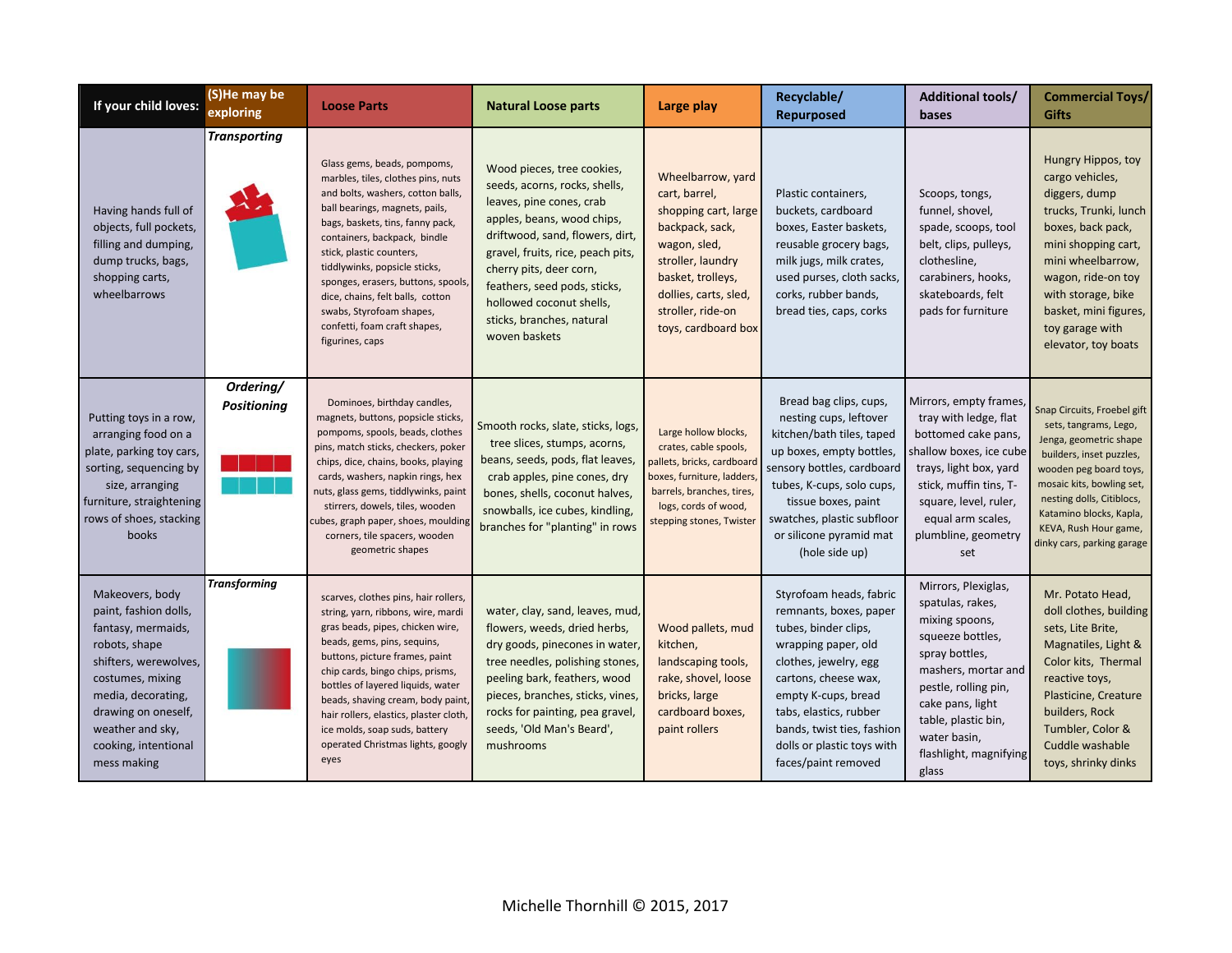| If your child loves:                                                                                                                                                                                                                 | (S)He may be<br>exploring       | <b>Loose Parts</b>                                                                                                                                                                                                                                                                                                                                                                                                                 | <b>Natural Loose parts</b>                                                                                                                                                                                                                                                                                                         | Large play                                                                                                                                                                                                   | Recyclable/<br>Repurposed                                                                                                                                                                                                                                                             | <b>Additional tools/</b><br>bases                                                                                                                                                                                                            | <b>Commercial Toys/</b><br><b>Gifts</b>                                                                                                                                                                                                                                          |
|--------------------------------------------------------------------------------------------------------------------------------------------------------------------------------------------------------------------------------------|---------------------------------|------------------------------------------------------------------------------------------------------------------------------------------------------------------------------------------------------------------------------------------------------------------------------------------------------------------------------------------------------------------------------------------------------------------------------------|------------------------------------------------------------------------------------------------------------------------------------------------------------------------------------------------------------------------------------------------------------------------------------------------------------------------------------|--------------------------------------------------------------------------------------------------------------------------------------------------------------------------------------------------------------|---------------------------------------------------------------------------------------------------------------------------------------------------------------------------------------------------------------------------------------------------------------------------------------|----------------------------------------------------------------------------------------------------------------------------------------------------------------------------------------------------------------------------------------------|----------------------------------------------------------------------------------------------------------------------------------------------------------------------------------------------------------------------------------------------------------------------------------|
| Having hands full of<br>objects, full pockets,<br>filling and dumping,<br>dump trucks, bags,<br>shopping carts,<br>wheelbarrows                                                                                                      | <b>Transporting</b>             | Glass gems, beads, pompoms,<br>marbles, tiles, clothes pins, nuts<br>and bolts, washers, cotton balls,<br>ball bearings, magnets, pails,<br>bags, baskets, tins, fanny pack,<br>containers, backpack, bindle<br>stick, plastic counters,<br>tiddlywinks, popsicle sticks,<br>sponges, erasers, buttons, spools,<br>dice, chains, felt balls, cotton<br>swabs, Styrofoam shapes,<br>confetti, foam craft shapes,<br>figurines, caps | Wood pieces, tree cookies,<br>seeds, acorns, rocks, shells,<br>leaves, pine cones, crab<br>apples, beans, wood chips,<br>driftwood, sand, flowers, dirt,<br>gravel, fruits, rice, peach pits,<br>cherry pits, deer corn,<br>feathers, seed pods, sticks,<br>hollowed coconut shells,<br>sticks, branches, natural<br>woven baskets | Wheelbarrow, yard<br>cart, barrel,<br>shopping cart, large<br>backpack, sack,<br>wagon, sled,<br>stroller, laundry<br>basket, trolleys,<br>dollies, carts, sled,<br>stroller, ride-on<br>toys, cardboard box | Plastic containers,<br>buckets, cardboard<br>boxes, Easter baskets,<br>reusable grocery bags,<br>milk jugs, milk crates,<br>used purses, cloth sacks,<br>corks, rubber bands,<br>bread ties, caps, corks                                                                              | Scoops, tongs,<br>funnel, shovel,<br>spade, scoops, tool<br>belt, clips, pulleys,<br>clothesline,<br>carabiners, hooks,<br>skateboards, felt<br>pads for furniture                                                                           | Hungry Hippos, toy<br>cargo vehicles,<br>diggers, dump<br>trucks, Trunki, lunch<br>boxes, back pack,<br>mini shopping cart,<br>mini wheelbarrow,<br>wagon, ride-on toy<br>with storage, bike<br>basket, mini figures,<br>toy garage with<br>elevator, toy boats                  |
| Putting toys in a row,<br>arranging food on a<br>plate, parking toy cars,<br>sorting, sequencing by<br>size, arranging<br>furniture, straightening<br>rows of shoes, stacking<br>books                                               | Ordering/<br><b>Positioning</b> | Dominoes, birthday candles,<br>magnets, buttons, popsicle sticks,<br>pompoms, spools, beads, clothes<br>pins, match sticks, checkers, poker<br>chips, dice, chains, books, playing<br>cards, washers, napkin rings, hex<br>nuts, glass gems, tiddlywinks, paint<br>stirrers, dowels, tiles, wooden<br>cubes, graph paper, shoes, moulding<br>corners, tile spacers, wooden<br>geometric shapes                                     | Smooth rocks, slate, sticks, logs,<br>tree slices, stumps, acorns,<br>beans, seeds, pods, flat leaves,<br>crab apples, pine cones, dry<br>bones, shells, coconut halves,<br>snowballs, ice cubes, kindling,<br>branches for "planting" in rows                                                                                     | Large hollow blocks,<br>crates, cable spools,<br>pallets, bricks, cardboard<br>boxes, furniture, ladders<br>barrels, branches, tires,<br>logs, cords of wood,<br>stepping stones, Twister                    | Bread bag clips, cups,<br>nesting cups, leftover<br>kitchen/bath tiles, taped<br>up boxes, empty bottles,<br>sensory bottles, cardboard<br>tubes, K-cups, solo cups,<br>tissue boxes, paint<br>swatches, plastic subfloor<br>or silicone pyramid mat<br>(hole side up)                | Mirrors, empty frames,<br>tray with ledge, flat<br>bottomed cake pans,<br>shallow boxes, ice cube<br>trays, light box, yard<br>stick, muffin tins, T-<br>square, level, ruler,<br>equal arm scales,<br>plumbline, geometry<br>set            | Snap Circuits, Froebel gift<br>sets, tangrams, Lego,<br>Jenga, geometric shape<br>builders, inset puzzles,<br>wooden peg board toys,<br>mosaic kits, bowling set,<br>nesting dolls, Citiblocs,<br>Katamino blocks, Kapla,<br>KEVA, Rush Hour game,<br>dinky cars, parking garage |
| Makeovers, body<br>paint, fashion dolls,<br>fantasy, mermaids,<br>robots, shape<br>shifters, werewolves,<br>costumes, mixing<br>media, decorating,<br>drawing on oneself,<br>weather and sky,<br>cooking, intentional<br>mess making | <b>Transforming</b>             | scarves, clothes pins, hair rollers,<br>string, yarn, ribbons, wire, mardi<br>gras beads, pipes, chicken wire,<br>beads, gems, pins, sequins,<br>buttons, picture frames, paint<br>chip cards, bingo chips, prisms,<br>bottles of layered liquids, water<br>beads, shaving cream, body paint<br>hair rollers, elastics, plaster cloth,<br>ice molds, soap suds, battery<br>operated Christmas lights, googly<br>eyes               | water, clay, sand, leaves, mud,<br>flowers, weeds, dried herbs,<br>dry goods, pinecones in water,<br>tree needles, polishing stones,<br>peeling bark, feathers, wood<br>pieces, branches, sticks, vines,<br>rocks for painting, pea gravel,<br>seeds, 'Old Man's Beard',<br>mushrooms                                              | Wood pallets, mud<br>kitchen,<br>landscaping tools,<br>rake, shovel, loose<br>bricks, large<br>cardboard boxes,<br>paint rollers                                                                             | Styrofoam heads, fabric<br>remnants, boxes, paper<br>tubes, binder clips,<br>wrapping paper, old<br>clothes, jewelry, egg<br>cartons, cheese wax,<br>empty K-cups, bread<br>tabs, elastics, rubber<br>bands, twist ties, fashion<br>dolls or plastic toys with<br>faces/paint removed | Mirrors, Plexiglas,<br>spatulas, rakes,<br>mixing spoons,<br>squeeze bottles,<br>spray bottles,<br>mashers, mortar and<br>pestle, rolling pin,<br>cake pans, light<br>table, plastic bin,<br>water basin,<br>flashlight, magnifying<br>glass | Mr. Potato Head,<br>doll clothes, building<br>sets, Lite Brite,<br>Magnatiles, Light &<br>Color kits, Thermal<br>reactive toys,<br>Plasticine, Creature<br>builders, Rock<br>Tumbler, Color &<br>Cuddle washable<br>toys, shrinky dinks                                          |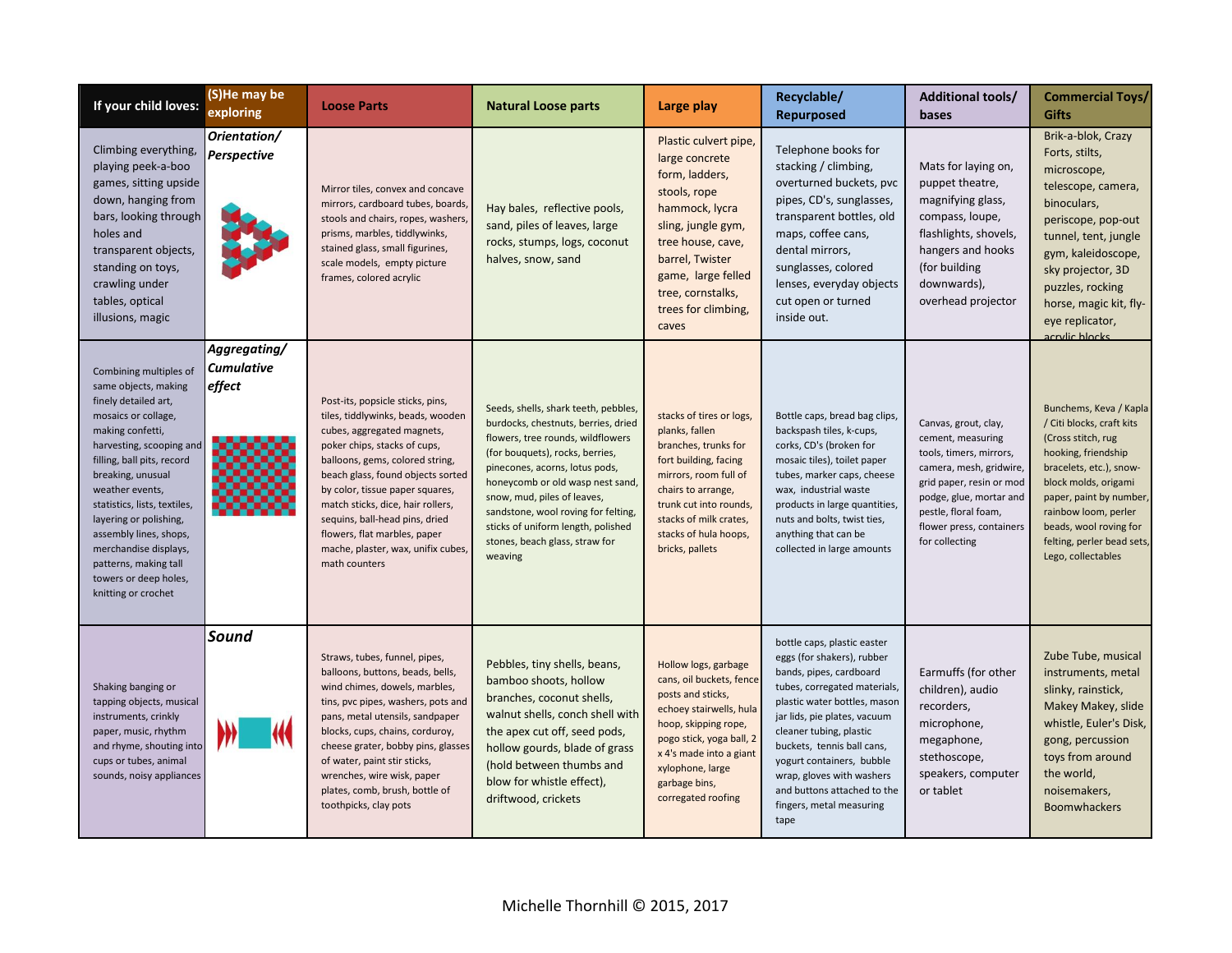| If your child loves:                                                                                                                                                                                                                                                                                                                                                                                      | (S)He may be<br>exploring            | <b>Loose Parts</b>                                                                                                                                                                                                                                                                                                                                                                                           | <b>Natural Loose parts</b>                                                                                                                                                                                                                                                                                                                                                        | Large play                                                                                                                                                                                                                                 | Recyclable/<br><b>Repurposed</b>                                                                                                                                                                                                                                                                                                                                           | <b>Additional tools/</b><br>bases                                                                                                                                                                                            | <b>Commercial Toys/</b><br><b>Gifts</b>                                                                                                                                                                                                                                              |
|-----------------------------------------------------------------------------------------------------------------------------------------------------------------------------------------------------------------------------------------------------------------------------------------------------------------------------------------------------------------------------------------------------------|--------------------------------------|--------------------------------------------------------------------------------------------------------------------------------------------------------------------------------------------------------------------------------------------------------------------------------------------------------------------------------------------------------------------------------------------------------------|-----------------------------------------------------------------------------------------------------------------------------------------------------------------------------------------------------------------------------------------------------------------------------------------------------------------------------------------------------------------------------------|--------------------------------------------------------------------------------------------------------------------------------------------------------------------------------------------------------------------------------------------|----------------------------------------------------------------------------------------------------------------------------------------------------------------------------------------------------------------------------------------------------------------------------------------------------------------------------------------------------------------------------|------------------------------------------------------------------------------------------------------------------------------------------------------------------------------------------------------------------------------|--------------------------------------------------------------------------------------------------------------------------------------------------------------------------------------------------------------------------------------------------------------------------------------|
| Climbing everything,<br>playing peek-a-boo<br>games, sitting upside<br>down, hanging from<br>bars, looking through<br>holes and<br>transparent objects,<br>standing on toys,<br>crawling under<br>tables, optical<br>illusions, magic                                                                                                                                                                     | Orientation/<br>Perspective          | Mirror tiles, convex and concave<br>mirrors, cardboard tubes, boards,<br>stools and chairs, ropes, washers,<br>prisms, marbles, tiddlywinks,<br>stained glass, small figurines,<br>scale models, empty picture<br>frames, colored acrylic                                                                                                                                                                    | Hay bales, reflective pools,<br>sand, piles of leaves, large<br>rocks, stumps, logs, coconut<br>halves, snow, sand                                                                                                                                                                                                                                                                | Plastic culvert pipe,<br>large concrete<br>form, ladders,<br>stools, rope<br>hammock, lycra<br>sling, jungle gym,<br>tree house, cave,<br>barrel, Twister<br>game, large felled<br>tree, cornstalks,<br>trees for climbing,<br>caves       | Telephone books for<br>stacking / climbing,<br>overturned buckets, pvc<br>pipes, CD's, sunglasses,<br>transparent bottles, old<br>maps, coffee cans,<br>dental mirrors,<br>sunglasses, colored<br>lenses, everyday objects<br>cut open or turned<br>inside out.                                                                                                            | Mats for laying on,<br>puppet theatre,<br>magnifying glass,<br>compass, loupe,<br>flashlights, shovels,<br>hangers and hooks<br>(for building<br>downwards),<br>overhead projector                                           | Brik-a-blok, Crazy<br>Forts, stilts,<br>microscope,<br>telescope, camera,<br>binoculars,<br>periscope, pop-out<br>tunnel, tent, jungle<br>gym, kaleidoscope,<br>sky projector, 3D<br>puzzles, rocking<br>horse, magic kit, fly-<br>eye replicator,<br>acrylic blocks                 |
| Combining multiples of<br>same objects, making<br>finely detailed art,<br>mosaics or collage,<br>making confetti,<br>harvesting, scooping and<br>filling, ball pits, record<br>breaking, unusual<br>weather events,<br>statistics, lists, textiles,<br>layering or polishing,<br>assembly lines, shops,<br>merchandise displays,<br>patterns, making tall<br>towers or deep holes,<br>knitting or crochet | Aggregating/<br>Cumulative<br>effect | Post-its, popsicle sticks, pins,<br>tiles, tiddlywinks, beads, wooden<br>cubes, aggregated magnets,<br>poker chips, stacks of cups,<br>balloons, gems, colored string,<br>beach glass, found objects sorted<br>by color, tissue paper squares,<br>match sticks, dice, hair rollers,<br>sequins, ball-head pins, dried<br>flowers, flat marbles, paper<br>mache, plaster, wax, unifix cubes,<br>math counters | Seeds, shells, shark teeth, pebbles,<br>burdocks, chestnuts, berries, dried<br>flowers, tree rounds, wildflowers<br>(for bouquets), rocks, berries,<br>pinecones, acorns, lotus pods,<br>honeycomb or old wasp nest sand<br>snow, mud, piles of leaves,<br>sandstone, wool roving for felting,<br>sticks of uniform length, polished<br>stones, beach glass, straw for<br>weaving | stacks of tires or logs,<br>planks, fallen<br>branches, trunks for<br>fort building, facing<br>mirrors, room full of<br>chairs to arrange,<br>trunk cut into rounds,<br>stacks of milk crates,<br>stacks of hula hoops,<br>bricks, pallets | Bottle caps, bread bag clips,<br>backspash tiles, k-cups,<br>corks, CD's (broken for<br>mosaic tiles), toilet paper<br>tubes, marker caps, cheese<br>wax, industrial waste<br>products in large quantities,<br>nuts and bolts, twist ties,<br>anything that can be<br>collected in large amounts                                                                           | Canvas, grout, clay,<br>cement, measuring<br>tools, timers, mirrors,<br>camera, mesh, gridwire,<br>grid paper, resin or mod<br>podge, glue, mortar and<br>pestle, floral foam,<br>flower press, containers<br>for collecting | Bunchems, Keva / Kapla<br>/ Citi blocks, craft kits<br>(Cross stitch, rug<br>hooking, friendship<br>bracelets, etc.), snow-<br>block molds, origami<br>paper, paint by number,<br>rainbow loom, perler<br>beads, wool roving for<br>felting, perler bead sets,<br>Lego, collectables |
| Shaking banging or<br>tapping objects, musical<br>instruments, crinkly<br>paper, music, rhythm<br>and rhyme, shouting into<br>cups or tubes, animal<br>sounds, noisy appliances                                                                                                                                                                                                                           | Sound                                | Straws, tubes, funnel, pipes,<br>balloons, buttons, beads, bells,<br>wind chimes, dowels, marbles,<br>tins, pvc pipes, washers, pots and<br>pans, metal utensils, sandpaper<br>blocks, cups, chains, corduroy,<br>cheese grater, bobby pins, glasses<br>of water, paint stir sticks,<br>wrenches, wire wisk, paper<br>plates, comb, brush, bottle of<br>toothpicks, clay pots                                | Pebbles, tiny shells, beans,<br>bamboo shoots, hollow<br>branches, coconut shells,<br>walnut shells, conch shell with<br>the apex cut off, seed pods,<br>hollow gourds, blade of grass<br>(hold between thumbs and<br>blow for whistle effect),<br>driftwood, crickets                                                                                                            | Hollow logs, garbage<br>cans, oil buckets, fence<br>posts and sticks,<br>echoey stairwells, hula<br>hoop, skipping rope,<br>pogo stick, yoga ball, 2<br>x 4's made into a giant<br>xylophone, large<br>garbage bins,<br>corregated roofing | bottle caps, plastic easter<br>eggs (for shakers), rubber<br>bands, pipes, cardboard<br>tubes, corregated materials,<br>plastic water bottles, mason<br>jar lids, pie plates, vacuum<br>cleaner tubing, plastic<br>buckets, tennis ball cans,<br>yogurt containers, bubble<br>wrap, gloves with washers<br>and buttons attached to the<br>fingers, metal measuring<br>tape | Earmuffs (for other<br>children), audio<br>recorders,<br>microphone,<br>megaphone,<br>stethoscope,<br>speakers, computer<br>or tablet                                                                                        | Zube Tube, musical<br>instruments, metal<br>slinky, rainstick,<br>Makey Makey, slide<br>whistle, Euler's Disk,<br>gong, percussion<br>toys from around<br>the world,<br>noisemakers,<br><b>Boomwhackers</b>                                                                          |